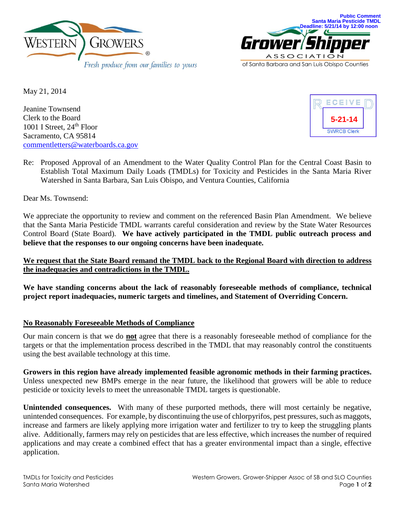



May 21, 2014

Jeanine Townsend Clerk to the Board 1001 I Street, 24<sup>th</sup> Floor Sacramento, CA 95814 [commentletters@waterboards.ca.gov](mailto:commentletters@waterboards.ca.gov)



Re: Proposed Approval of an Amendment to the Water Quality Control Plan for the Central Coast Basin to Establish Total Maximum Daily Loads (TMDLs) for Toxicity and Pesticides in the Santa Maria River Watershed in Santa Barbara, San Luis Obispo, and Ventura Counties, California

Dear Ms. Townsend:

We appreciate the opportunity to review and comment on the referenced Basin Plan Amendment. We believe that the Santa Maria Pesticide TMDL warrants careful consideration and review by the State Water Resources Control Board (State Board). **We have actively participated in the TMDL public outreach process and believe that the responses to our ongoing concerns have been inadequate.**

# **We request that the State Board remand the TMDL back to the Regional Board with direction to address the inadequacies and contradictions in the TMDL.**

**We have standing concerns about the lack of reasonably foreseeable methods of compliance, technical project report inadequacies, numeric targets and timelines, and Statement of Overriding Concern.**

### **No Reasonably Foreseeable Methods of Compliance**

Our main concern is that we do **not** agree that there is a reasonably foreseeable method of compliance for the targets or that the implementation process described in the TMDL that may reasonably control the constituents using the best available technology at this time.

**Growers in this region have already implemented feasible agronomic methods in their farming practices.** Unless unexpected new BMPs emerge in the near future, the likelihood that growers will be able to reduce pesticide or toxicity levels to meet the unreasonable TMDL targets is questionable.

**Unintended consequences.** With many of these purported methods, there will most certainly be negative, unintended consequences. For example, by discontinuing the use of chlorpyrifos, pest pressures, such as maggots, increase and farmers are likely applying more irrigation water and fertilizer to try to keep the struggling plants alive. Additionally, farmers may rely on pesticides that are less effective, which increases the number of required applications and may create a combined effect that has a greater environmental impact than a single, effective application.